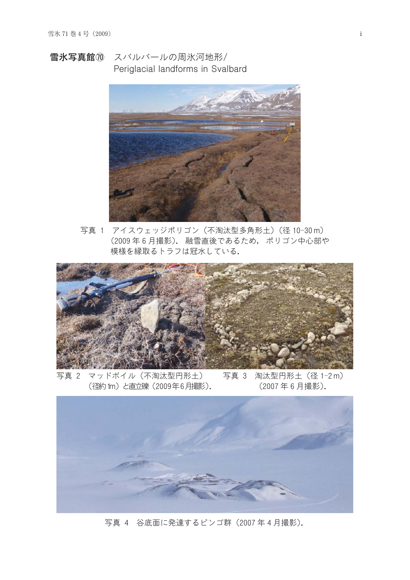雪氷写真館⑩ スバルバールの周氷河地形/ Periglacial landforms in Svalbard



写真 1 アイスウェッジポリゴン (不淘汰型多角形土) (径 10-30m) (2009年6月撮影). 融雪直後であるため、ポリゴン中心部や 模様を縁取るトラフは冠水している.



マッドボイル (不淘汰型円形土) 写真 3 淘汰型円形土 (径 1-2 m) 写真 2 (径約 tm) と直立礫 (2009年6月撮影). (2007年6月撮影).



写真 4 谷底面に発達するピンゴ群 (2007年4月撮影).